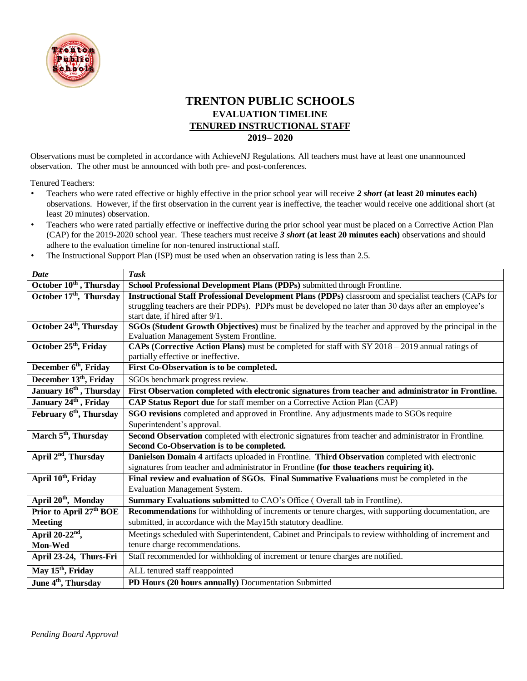

## **TRENTON PUBLIC SCHOOLS EVALUATION TIMELINE TENURED INSTRUCTIONAL STAFF 2019– 2020**

Observations must be completed in accordance with AchieveNJ Regulations. All teachers must have at least one unannounced observation. The other must be announced with both pre- and post-conferences.

Tenured Teachers:

- Teachers who were rated effective or highly effective in the prior school year will receive *2 short* **(at least 20 minutes each)** observations. However, if the first observation in the current year is ineffective, the teacher would receive one additional short (at least 20 minutes) observation.
- Teachers who were rated partially effective or ineffective during the prior school year must be placed on a Corrective Action Plan (CAP) for the 2019-2020 school year. These teachers must receive *3 short* **(at least 20 minutes each)** observations and should adhere to the evaluation timeline for non-tenured instructional staff.
- The Instructional Support Plan (ISP) must be used when an observation rating is less than 2.5.

| <b>Date</b>                         | <b>Task</b>                                                                                            |
|-------------------------------------|--------------------------------------------------------------------------------------------------------|
| October 10 <sup>th</sup> , Thursday | School Professional Development Plans (PDPs) submitted through Frontline.                              |
| October 17 <sup>th</sup> , Thursday | Instructional Staff Professional Development Plans (PDPs) classroom and specialist teachers (CAPs for  |
|                                     | struggling teachers are their PDPs). PDPs must be developed no later than 30 days after an employee's  |
|                                     | start date, if hired after 9/1.                                                                        |
| October 24 <sup>th</sup> , Thursday | SGOs (Student Growth Objectives) must be finalized by the teacher and approved by the principal in the |
|                                     | Evaluation Management System Frontline.                                                                |
| October 25 <sup>th</sup> , Friday   | CAPs (Corrective Action Plans) must be completed for staff with SY 2018 - 2019 annual ratings of       |
|                                     | partially effective or ineffective.                                                                    |
| December 6 <sup>th</sup> , Friday   | First Co-Observation is to be completed.                                                               |
| December 13 <sup>th</sup> , Friday  | SGOs benchmark progress review.                                                                        |
| January 16 <sup>th</sup> , Thursday | First Observation completed with electronic signatures from teacher and administrator in Frontline.    |
| January 24 <sup>th</sup> , Friday   | CAP Status Report due for staff member on a Corrective Action Plan (CAP)                               |
| February 6 <sup>th</sup> , Thursday | SGO revisions completed and approved in Frontline. Any adjustments made to SGOs require                |
|                                     | Superintendent's approval.                                                                             |
| March 5 <sup>th</sup> , Thursday    | Second Observation completed with electronic signatures from teacher and administrator in Frontline.   |
|                                     | Second Co-Observation is to be completed.                                                              |
| April 2 <sup>nd</sup> , Thursday    | Danielson Domain 4 artifacts uploaded in Frontline. Third Observation completed with electronic        |
|                                     | signatures from teacher and administrator in Frontline (for those teachers requiring it).              |
| April 10 <sup>th</sup> , Friday     | Final review and evaluation of SGOs. Final Summative Evaluations must be completed in the              |
|                                     | Evaluation Management System.                                                                          |
| April 20 <sup>th</sup> , Monday     | Summary Evaluations submitted to CAO's Office (Overall tab in Frontline).                              |
| Prior to April 27 <sup>th</sup> BOE | Recommendations for withholding of increments or tenure charges, with supporting documentation, are    |
| <b>Meeting</b>                      | submitted, in accordance with the May15th statutory deadline.                                          |
| April $20-22nd$ ,                   | Meetings scheduled with Superintendent, Cabinet and Principals to review withholding of increment and  |
| Mon-Wed                             | tenure charge recommendations.                                                                         |
| April 23-24, Thurs-Fri              | Staff recommended for withholding of increment or tenure charges are notified.                         |
| May 15 <sup>th</sup> , Friday       | ALL tenured staff reappointed                                                                          |
| June 4 <sup>th</sup> , Thursday     | PD Hours (20 hours annually) Documentation Submitted                                                   |